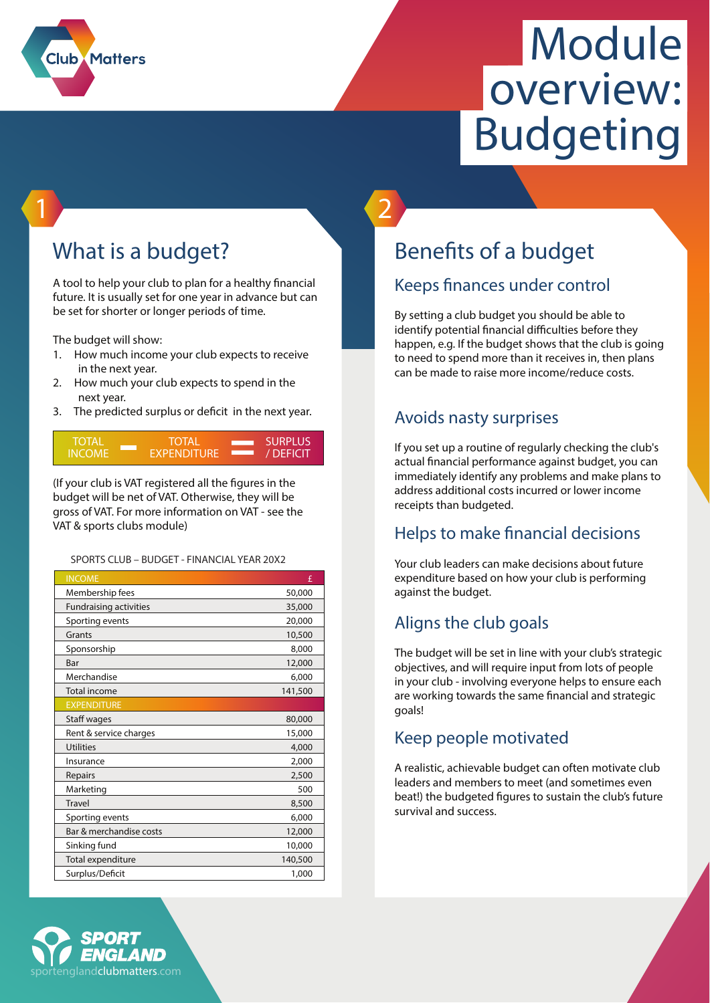

# What is a budget?

**Matters** 

A tool to help your club to plan for a healthy financial future. It is usually set for one year in advance but can be set for shorter or longer periods of time.

The budget will show:

**1**

- 1. How much income your club expects to receive in the next year.
- 2. How much your club expects to spend in the next year.
- 3. The predicted surplus or deficit in the next year.



(If your club is VAT registered all the figures in the budget will be net of VAT. Otherwise, they will be gross of VAT. For more information on VAT - see the VAT & sports clubs module)

#### **SPORTS CLUB – BUDGET - FINANCIAL YEAR 20X2**

| <b>INCOME</b>                 | £       |
|-------------------------------|---------|
| Membership fees               | 50,000  |
| <b>Fundraising activities</b> | 35,000  |
| Sporting events               | 20,000  |
| Grants                        | 10,500  |
| Sponsorship                   | 8,000   |
| Bar                           | 12,000  |
| Merchandise                   | 6,000   |
| <b>Total income</b>           | 141,500 |
| <b>EXPENDITURE</b>            |         |
| Staff wages                   | 80,000  |
| Rent & service charges        | 15,000  |
| <b>Utilities</b>              | 4,000   |
| Insurance                     | 2,000   |
| Repairs                       | 2,500   |
| Marketing                     | 500     |
| <b>Travel</b>                 | 8,500   |
| Sporting events               | 6,000   |
| Bar & merchandise costs       | 12,000  |
| Sinking fund                  | 10,000  |
| Total expenditure             | 140,500 |
| Surplus/Deficit               | 1,000   |



**2**

### Keeps finances under control

By setting a club budget you should be able to identify potential financial difficulties before they happen, e.g. If the budget shows that the club is going to need to spend more than it receives in, then plans can be made to raise more income/reduce costs.

#### Avoids nasty surprises

If you set up a routine of regularly checking the club's actual financial performance against budget, you can immediately identify any problems and make plans to address additional costs incurred or lower income receipts than budgeted.

#### Helps to make financial decisions

Your club leaders can make decisions about future expenditure based on how your club is performing against the budget.

## Aligns the club goals

The budget will be set in line with your club's strategic objectives, and will require input from lots of people in your club - involving everyone helps to ensure each are working towards the same financial and strategic goals!

#### Keep people motivated

A realistic, achievable budget can often motivate club leaders and members to meet (and sometimes even beat!) the budgeted figures to sustain the club's future survival and success.

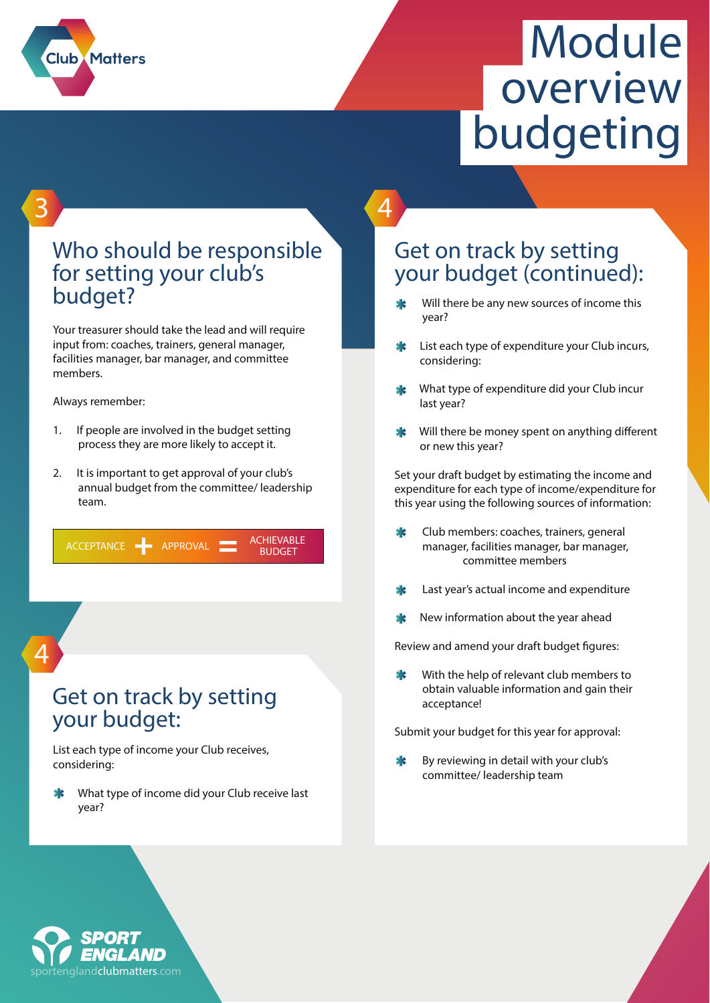

**3**

## Who should be responsible for setting your club's budget?

Your treasurer should take the lead and will require input from: coaches, trainers, general manager, facilities manager, bar manager, and committee members.

Always remember:

Matters

Club

- 1. If people are involved in the budget setting process they are more likely to accept it.
- 2. It is important to get approval of your club's annual budget from the committee/ leadership team.

| <b>BUDGET</b> | APPROVAL<br>ACCEPTANCE | <b>ACHIEVABLE</b> |
|---------------|------------------------|-------------------|
|---------------|------------------------|-------------------|

**4**

## Get on track by setting your budget:

List each type of income your Club receives, considering:

 What type of income did your Club receive last year?

Get on track by setting your budget (continued):

**4**

- Will there be any new sources of income this year?
- List each type of expenditure your Club incurs, considering:
- What type of expenditure did your Club incur last year?
- Will there be money spent on anything different or new this year?

Set your draft budget by estimating the income and expenditure for each type of income/expenditure for this year using the following sources of information:

- **\*** Club members: coaches, trainers, general manager, facilities manager, bar manager, committee members
- Last year's actual income and expenditure
- New information about the year ahead

Review and amend your draft budget figures:

 With the help of relevant club members to obtain valuable information and gain their acceptance!

Submit your budget for this year for approval:

 By reviewing in detail with your club's committee/ leadership team